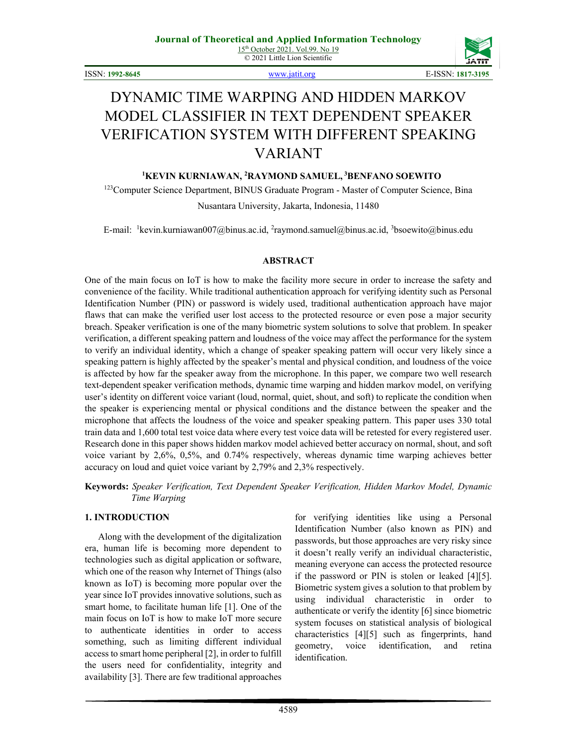

ISSN: **1992-8645** [www.jatit.org](http://www.jatit.org/) E-ISSN: **1817-3195**

# DYNAMIC TIME WARPING AND HIDDEN MARKOV MODEL CLASSIFIER IN TEXT DEPENDENT SPEAKER VERIFICATION SYSTEM WITH DIFFERENT SPEAKING VARIANT

## **1 KEVIN KURNIAWAN, <sup>2</sup> RAYMOND SAMUEL, <sup>3</sup> BENFANO SOEWITO**

<sup>123</sup>Computer Science Department, BINUS Graduate Program - Master of Computer Science, Bina

Nusantara University, Jakarta, Indonesia, 11480

E-mail: <sup>1</sup>kevin.kurniawan007@binus.ac.id, <sup>2</sup>raymond.samuel@binus.ac.id, <sup>3</sup>bsoewito@binus.edu

### **ABSTRACT**

One of the main focus on IoT is how to make the facility more secure in order to increase the safety and convenience of the facility. While traditional authentication approach for verifying identity such as Personal Identification Number (PIN) or password is widely used, traditional authentication approach have major flaws that can make the verified user lost access to the protected resource or even pose a major security breach. Speaker verification is one of the many biometric system solutions to solve that problem. In speaker verification, a different speaking pattern and loudness of the voice may affect the performance for the system to verify an individual identity, which a change of speaker speaking pattern will occur very likely since a speaking pattern is highly affected by the speaker's mental and physical condition, and loudness of the voice is affected by how far the speaker away from the microphone. In this paper, we compare two well research text-dependent speaker verification methods, dynamic time warping and hidden markov model, on verifying user's identity on different voice variant (loud, normal, quiet, shout, and soft) to replicate the condition when the speaker is experiencing mental or physical conditions and the distance between the speaker and the microphone that affects the loudness of the voice and speaker speaking pattern. This paper uses 330 total train data and 1,600 total test voice data where every test voice data will be retested for every registered user. Research done in this paper shows hidden markov model achieved better accuracy on normal, shout, and soft voice variant by 2,6%, 0,5%, and 0.74% respectively, whereas dynamic time warping achieves better accuracy on loud and quiet voice variant by 2,79% and 2,3% respectively.

**Keywords:** *Speaker Verification, Text Dependent Speaker Verification, Hidden Markov Model, Dynamic Time Warping*

# **1. INTRODUCTION**

Along with the development of the digitalization era, human life is becoming more dependent to technologies such as digital application or software, which one of the reason why Internet of Things (also known as IoT) is becoming more popular over the year since IoT provides innovative solutions, such as smart home, to facilitate human life [1]. One of the main focus on IoT is how to make IoT more secure to authenticate identities in order to access something, such as limiting different individual access to smart home peripheral [2], in order to fulfill the users need for confidentiality, integrity and availability [3]. There are few traditional approaches for verifying identities like using a Personal Identification Number (also known as PIN) and passwords, but those approaches are very risky since it doesn't really verify an individual characteristic, meaning everyone can access the protected resource if the password or PIN is stolen or leaked [4][5]. Biometric system gives a solution to that problem by using individual characteristic in order to authenticate or verify the identity [6] since biometric system focuses on statistical analysis of biological characteristics [4][5] such as fingerprints, hand geometry, voice identification, and retina identification.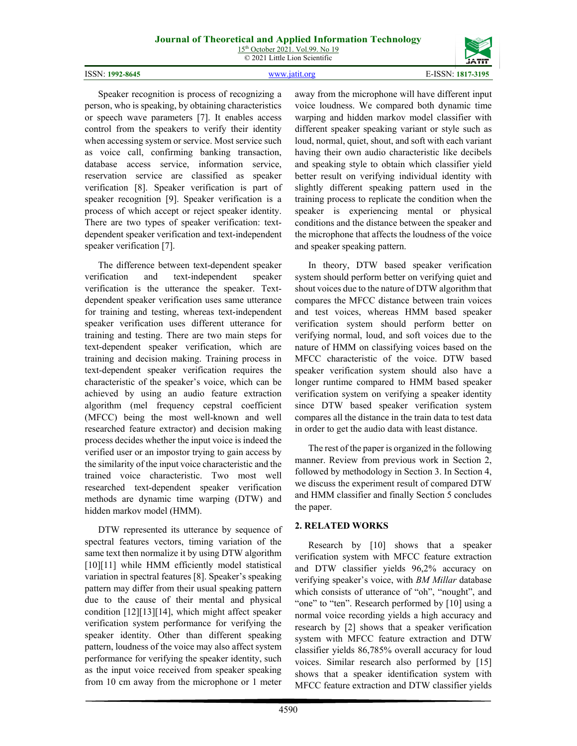speaker verification [7].

4590

away from the microphone will have different input voice loudness. We compared both dynamic time warping and hidden markov model classifier with different speaker speaking variant or style such as loud, normal, quiet, shout, and soft with each variant having their own audio characteristic like decibels and speaking style to obtain which classifier yield better result on verifying individual identity with slightly different speaking pattern used in the training process to replicate the condition when the speaker is experiencing mental or physical conditions and the distance between the speaker and the microphone that affects the loudness of the voice and speaker speaking pattern.

In theory, DTW based speaker verification system should perform better on verifying quiet and shout voices due to the nature of DTW algorithm that compares the MFCC distance between train voices and test voices, whereas HMM based speaker verification system should perform better on verifying normal, loud, and soft voices due to the nature of HMM on classifying voices based on the MFCC characteristic of the voice. DTW based speaker verification system should also have a longer runtime compared to HMM based speaker verification system on verifying a speaker identity since DTW based speaker verification system compares all the distance in the train data to test data in order to get the audio data with least distance.

The rest of the paper is organized in the following manner. Review from previous work in Section 2, followed by methodology in Section 3. In Section 4, we discuss the experiment result of compared DTW and HMM classifier and finally Section 5 concludes the paper.

# **2. RELATED WORKS**

Research by [10] shows that a speaker verification system with MFCC feature extraction and DTW classifier yields 96,2% accuracy on verifying speaker's voice, with *BM Millar* database which consists of utterance of "oh", "nought", and "one" to "ten". Research performed by [10] using a normal voice recording yields a high accuracy and research by [2] shows that a speaker verification system with MFCC feature extraction and DTW classifier yields 86,785% overall accuracy for loud voices. Similar research also performed by [15] shows that a speaker identification system with MFCC feature extraction and DTW classifier yields

# Speaker recognition is process of recognizing a person, who is speaking, by obtaining characteristics or speech wave parameters [7]. It enables access control from the speakers to verify their identity when accessing system or service. Most service such as voice call, confirming banking transaction, database access service, information service, reservation service are classified as speaker verification [8]. Speaker verification is part of speaker recognition [9]. Speaker verification is a process of which accept or reject speaker identity. There are two types of speaker verification: textdependent speaker verification and text-independent

The difference between text-dependent speaker verification and text-independent speaker verification is the utterance the speaker. Textdependent speaker verification uses same utterance for training and testing, whereas text-independent speaker verification uses different utterance for training and testing. There are two main steps for text-dependent speaker verification, which are training and decision making. Training process in text-dependent speaker verification requires the characteristic of the speaker's voice, which can be achieved by using an audio feature extraction algorithm (mel frequency cepstral coefficient (MFCC) being the most well-known and well researched feature extractor) and decision making process decides whether the input voice is indeed the verified user or an impostor trying to gain access by the similarity of the input voice characteristic and the trained voice characteristic. Two most well researched text-dependent speaker verification methods are dynamic time warping (DTW) and hidden markov model (HMM).

DTW represented its utterance by sequence of spectral features vectors, timing variation of the same text then normalize it by using DTW algorithm [10][11] while HMM efficiently model statistical variation in spectral features [8]. Speaker's speaking pattern may differ from their usual speaking pattern due to the cause of their mental and physical condition [12][13][14], which might affect speaker verification system performance for verifying the speaker identity. Other than different speaking pattern, loudness of the voice may also affect system performance for verifying the speaker identity, such as the input voice received from speaker speaking from 10 cm away from the microphone or 1 meter

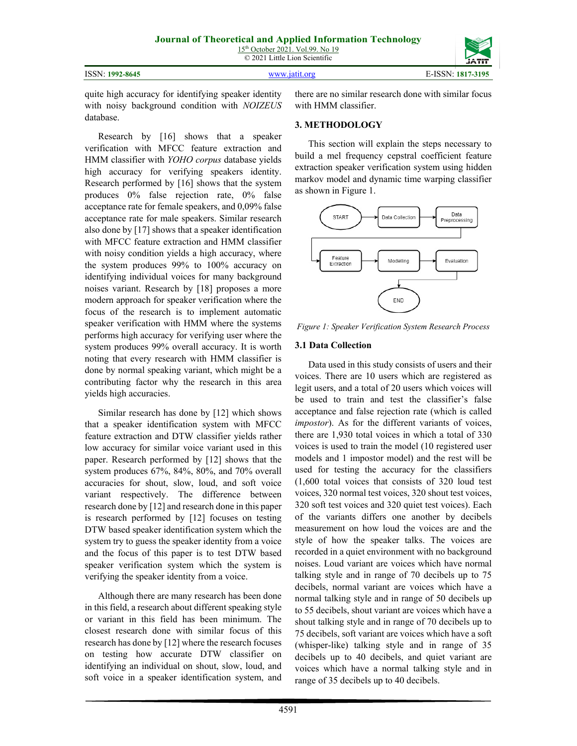© 2021 Little Lion Scientific

| ISSN: 1992-8645 | www.jatit.org | E-ISSN: 1817-3195 |
|-----------------|---------------|-------------------|
|                 |               |                   |



quite high accuracy for identifying speaker identity with noisy background condition with *NOIZEUS* database.

Research by [16] shows that a speaker verification with MFCC feature extraction and HMM classifier with *YOHO corpus* database yields high accuracy for verifying speakers identity. Research performed by [16] shows that the system produces 0% false rejection rate, 0% false acceptance rate for female speakers, and 0,09% false acceptance rate for male speakers. Similar research also done by [17] shows that a speaker identification with MFCC feature extraction and HMM classifier with noisy condition yields a high accuracy, where the system produces 99% to 100% accuracy on identifying individual voices for many background noises variant. Research by [18] proposes a more modern approach for speaker verification where the focus of the research is to implement automatic speaker verification with HMM where the systems performs high accuracy for verifying user where the system produces 99% overall accuracy. It is worth noting that every research with HMM classifier is done by normal speaking variant, which might be a contributing factor why the research in this area yields high accuracies.

Similar research has done by [12] which shows that a speaker identification system with MFCC feature extraction and DTW classifier yields rather low accuracy for similar voice variant used in this paper. Research performed by [12] shows that the system produces 67%, 84%, 80%, and 70% overall accuracies for shout, slow, loud, and soft voice variant respectively. The difference between research done by [12] and research done in this paper is research performed by [12] focuses on testing DTW based speaker identification system which the system try to guess the speaker identity from a voice and the focus of this paper is to test DTW based speaker verification system which the system is verifying the speaker identity from a voice.

Although there are many research has been done in this field, a research about different speaking style or variant in this field has been minimum. The closest research done with similar focus of this research has done by [12] where the research focuses on testing how accurate DTW classifier on identifying an individual on shout, slow, loud, and soft voice in a speaker identification system, and there are no similar research done with similar focus with HMM classifier.

# **3. METHODOLOGY**

This section will explain the steps necessary to build a mel frequency cepstral coefficient feature extraction speaker verification system using hidden markov model and dynamic time warping classifier as shown in Figure 1.



*Figure 1: Speaker Verification System Research Process*

# **3.1 Data Collection**

Data used in this study consists of users and their voices. There are 10 users which are registered as legit users, and a total of 20 users which voices will be used to train and test the classifier's false acceptance and false rejection rate (which is called *impostor*). As for the different variants of voices, there are 1,930 total voices in which a total of 330 voices is used to train the model (10 registered user models and 1 impostor model) and the rest will be used for testing the accuracy for the classifiers (1,600 total voices that consists of 320 loud test voices, 320 normal test voices, 320 shout test voices, 320 soft test voices and 320 quiet test voices). Each of the variants differs one another by decibels measurement on how loud the voices are and the style of how the speaker talks. The voices are recorded in a quiet environment with no background noises. Loud variant are voices which have normal talking style and in range of 70 decibels up to 75 decibels, normal variant are voices which have a normal talking style and in range of 50 decibels up to 55 decibels, shout variant are voices which have a shout talking style and in range of 70 decibels up to 75 decibels, soft variant are voices which have a soft (whisper-like) talking style and in range of 35 decibels up to 40 decibels, and quiet variant are voices which have a normal talking style and in range of 35 decibels up to 40 decibels.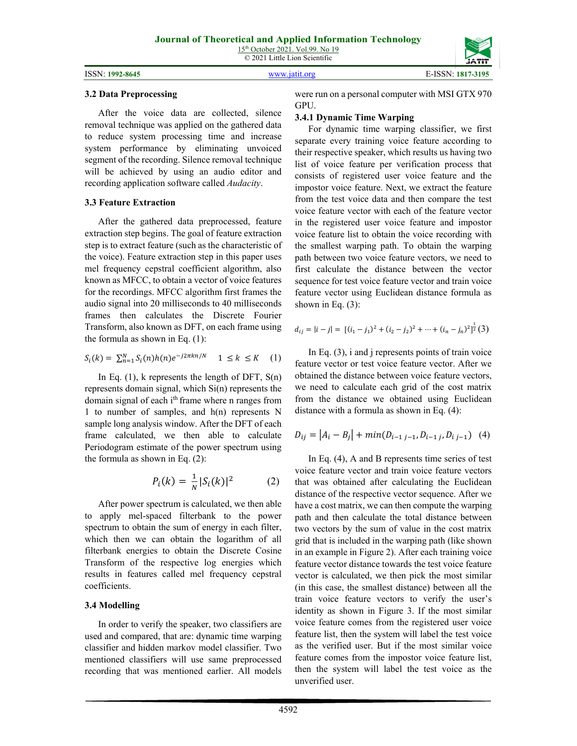#### ISSN: **1992-8645** [www.jatit.org](http://www.jatit.org/) E-ISSN: **1817-3195**



#### **3.2 Data Preprocessing**

After the voice data are collected, silence removal technique was applied on the gathered data to reduce system processing time and increase system performance by eliminating unvoiced segment of the recording. Silence removal technique will be achieved by using an audio editor and recording application software called *Audacity*.

#### **3.3 Feature Extraction**

After the gathered data preprocessed, feature extraction step begins. The goal of feature extraction step is to extract feature (such as the characteristic of the voice). Feature extraction step in this paper uses mel frequency cepstral coefficient algorithm, also known as MFCC, to obtain a vector of voice features for the recordings. MFCC algorithm first frames the audio signal into 20 milliseconds to 40 milliseconds frames then calculates the Discrete Fourier Transform, also known as DFT, on each frame using the formula as shown in Eq. (1):

$$
S_i(k) = \sum_{n=1}^{N} S_i(n)h(n)e^{-j2\pi kn/N} \quad 1 \le k \le K \quad (1)
$$

In Eq.  $(1)$ , k represents the length of DFT,  $S(n)$ represents domain signal, which Si(n) represents the domain signal of each i<sup>th</sup> frame where n ranges from 1 to number of samples, and h(n) represents N sample long analysis window. After the DFT of each frame calculated, we then able to calculate Periodogram estimate of the power spectrum using the formula as shown in Eq. (2):

$$
P_i(k) = \frac{1}{N} |S_i(k)|^2
$$
 (2)

After power spectrum is calculated, we then able to apply mel-spaced filterbank to the power spectrum to obtain the sum of energy in each filter, which then we can obtain the logarithm of all filterbank energies to obtain the Discrete Cosine Transform of the respective log energies which results in features called mel frequency cepstral coefficients.

### **3.4 Modelling**

In order to verify the speaker, two classifiers are used and compared, that are: dynamic time warping classifier and hidden markov model classifier. Two mentioned classifiers will use same preprocessed recording that was mentioned earlier. All models were run on a personal computer with MSI GTX 970 GPU.

#### **3.4.1 Dynamic Time Warping**

For dynamic time warping classifier, we first separate every training voice feature according to their respective speaker, which results us having two list of voice feature per verification process that consists of registered user voice feature and the impostor voice feature. Next, we extract the feature from the test voice data and then compare the test voice feature vector with each of the feature vector in the registered user voice feature and impostor voice feature list to obtain the voice recording with the smallest warping path. To obtain the warping path between two voice feature vectors, we need to first calculate the distance between the vector sequence for test voice feature vector and train voice feature vector using Euclidean distance formula as shown in Eq.  $(3)$ :

$$
d_{ij} = |i - j| = [(i_1 - j_1)^2 + (i_2 - j_2)^2 + \dots + (i_n - j_n)^2]^{\frac{1}{2}}(3)
$$

In Eq. (3), i and j represents points of train voice feature vector or test voice feature vector. After we obtained the distance between voice feature vectors, we need to calculate each grid of the cost matrix from the distance we obtained using Euclidean distance with a formula as shown in Eq. (4):

$$
D_{ij} = |A_i - B_j| + \min(D_{i-1,j-1}, D_{i-1,j}, D_{i,j-1}) \quad (4)
$$

In Eq. (4), A and B represents time series of test voice feature vector and train voice feature vectors that was obtained after calculating the Euclidean distance of the respective vector sequence. After we have a cost matrix, we can then compute the warping path and then calculate the total distance between two vectors by the sum of value in the cost matrix grid that is included in the warping path (like shown in an example in Figure 2). After each training voice feature vector distance towards the test voice feature vector is calculated, we then pick the most similar (in this case, the smallest distance) between all the train voice feature vectors to verify the user's identity as shown in Figure 3. If the most similar voice feature comes from the registered user voice feature list, then the system will label the test voice as the verified user. But if the most similar voice feature comes from the impostor voice feature list, then the system will label the test voice as the unverified user.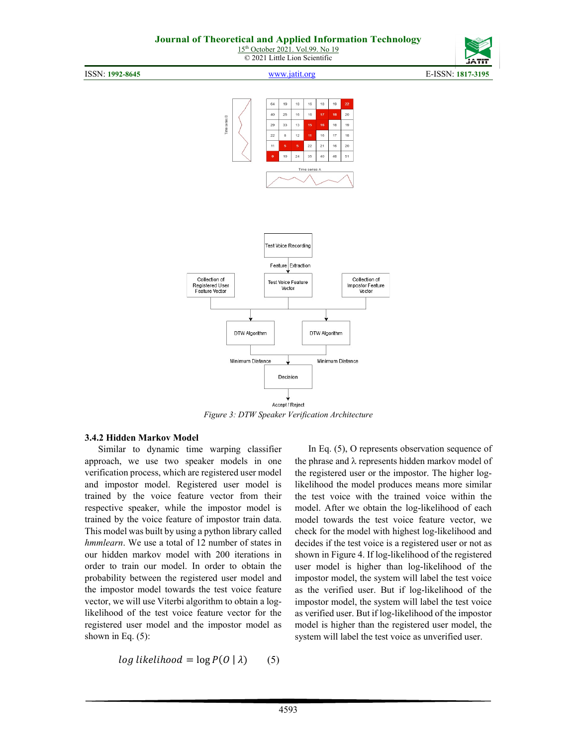

ISSN: **1992-8645** [www.jatit.org](http://www.jatit.org/) E-ISSN: **1817-3195**



*Figure 3: DTW Speaker Verification Architecture*

### **3.4.2 Hidden Markov Model**

Similar to dynamic time warping classifier approach, we use two speaker models in one verification process, which are registered user model and impostor model. Registered user model is trained by the voice feature vector from their respective speaker, while the impostor model is trained by the voice feature of impostor train data. This model was built by using a python library called *hmmlearn*. We use a total of 12 number of states in our hidden markov model with 200 iterations in order to train our model. In order to obtain the probability between the registered user model and the impostor model towards the test voice feature vector, we will use Viterbi algorithm to obtain a loglikelihood of the test voice feature vector for the registered user model and the impostor model as shown in Eq. (5):

 $log likelihood = log P(O | \lambda)$  (5)

In Eq. (5), O represents observation sequence of the phrase and λ represents hidden markov model of the registered user or the impostor. The higher loglikelihood the model produces means more similar the test voice with the trained voice within the model. After we obtain the log-likelihood of each model towards the test voice feature vector, we check for the model with highest log-likelihood and decides if the test voice is a registered user or not as shown in Figure 4. If log-likelihood of the registered user model is higher than log-likelihood of the impostor model, the system will label the test voice as the verified user. But if log-likelihood of the impostor model, the system will label the test voice as verified user. But if log-likelihood of the impostor model is higher than the registered user model, the system will label the test voice as unverified user.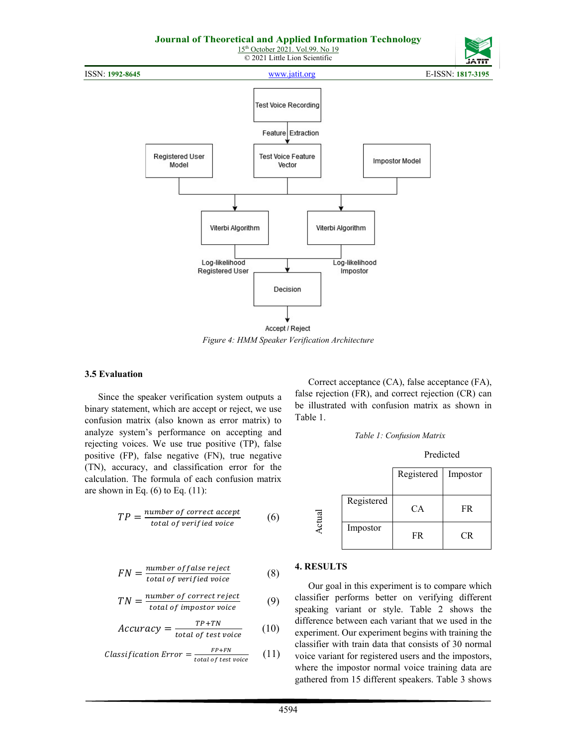

*Figure 4: HMM Speaker Verification Architecture*

#### **3.5 Evaluation**

Since the speaker verification system outputs a binary statement, which are accept or reject, we use confusion matrix (also known as error matrix) to analyze system's performance on accepting and rejecting voices. We use true positive (TP), false positive (FP), false negative (FN), true negative (TN), accuracy, and classification error for the calculation. The formula of each confusion matrix are shown in Eq.  $(6)$  to Eq.  $(11)$ :

$$
TP = \frac{number\ of\ correct\ accept}{total\ of\ verified\ voice}
$$
 (6)

$$
FN = \frac{number \ of \ false \ reject}{total \ of \ verified \ voice}
$$
 (8)

$$
TN = \frac{number\ of\ correct\ reject}{total\ of\ important\ voice}
$$
 (9)

$$
Accuracy = \frac{TP + TN}{total \ of \ test \ voice} \tag{10}
$$

$$
Classification Error = \frac{FP+FN}{total\ of\ test\ voice} \qquad (11)
$$

Correct acceptance (CA), false acceptance (FA), false rejection (FR), and correct rejection (CR) can be illustrated with confusion matrix as shown in Table 1.



Predicted

|            | Registered Impostor |     |
|------------|---------------------|-----|
| Registered | CA                  | FR  |
| Impostor   | FR                  | CR. |

### **4. RESULTS**

Actual

Our goal in this experiment is to compare which classifier performs better on verifying different speaking variant or style. Table 2 shows the difference between each variant that we used in the experiment. Our experiment begins with training the classifier with train data that consists of 30 normal voice variant for registered users and the impostors, where the impostor normal voice training data are gathered from 15 different speakers. Table 3 shows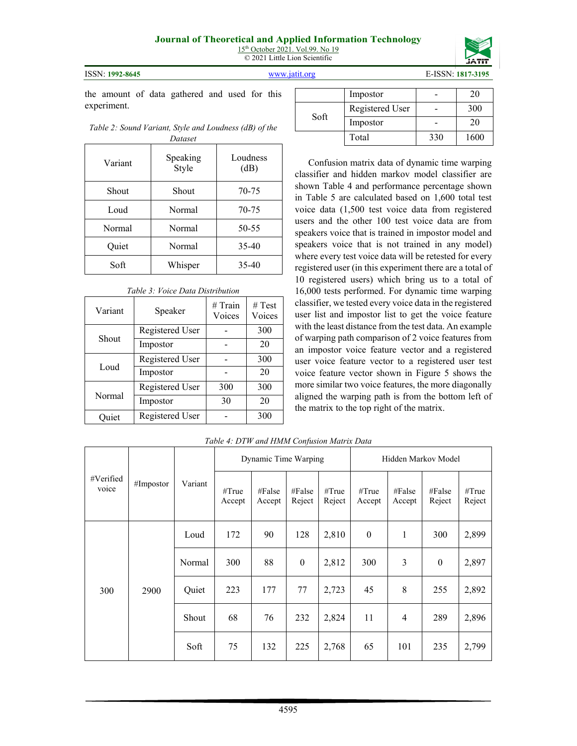



ISSN: **1992-8645** [www.jatit.org](http://www.jatit.org/) E-ISSN: **1817-3195**

the amount of data gathered and used for this experiment.

*Table 2: Sound Variant, Style and Loudness (dB) of the Dataset*

| Variant | Speaking<br>Style | Loudness<br>(dB) |
|---------|-------------------|------------------|
| Shout   | Shout             | 70-75            |
| Loud    | Normal            | 70-75            |
| Normal  | Normal            | 50-55            |
| Quiet   | Normal            | 35-40            |
| Soft    | Whisper           | 35-40            |

| , once Duna D <i>istriction</i> |                 |                     |                  |  |  |  |  |  |
|---------------------------------|-----------------|---------------------|------------------|--|--|--|--|--|
| Variant                         | Speaker         | $#$ Train<br>Voices | # Test<br>Voices |  |  |  |  |  |
|                                 | Registered User |                     | 300              |  |  |  |  |  |
| Shout                           | Impostor        |                     | 20               |  |  |  |  |  |
|                                 | Registered User |                     | 300              |  |  |  |  |  |
| Loud                            | Impostor        |                     | 20               |  |  |  |  |  |
|                                 | Registered User | 300                 | 300              |  |  |  |  |  |
| Normal                          | Impostor        | 30                  | 20               |  |  |  |  |  |
| Ouiet                           | Registered User |                     | 300              |  |  |  |  |  |

*Table 3: Voice Data Distribution*

|      | Impostor        |     | 20   |
|------|-----------------|-----|------|
|      | Registered User |     | 300  |
| Soft | Impostor        |     | 20   |
|      | Total           | 330 | 1600 |

Confusion matrix data of dynamic time warping classifier and hidden markov model classifier are shown Table 4 and performance percentage shown in Table 5 are calculated based on 1,600 total test voice data (1,500 test voice data from registered users and the other 100 test voice data are from speakers voice that is trained in impostor model and speakers voice that is not trained in any model) where every test voice data will be retested for every registered user (in this experiment there are a total of 10 registered users) which bring us to a total of 16,000 tests performed. For dynamic time warping classifier, we tested every voice data in the registered user list and impostor list to get the voice feature with the least distance from the test data. An example of warping path comparison of 2 voice features from an impostor voice feature vector and a registered user voice feature vector to a registered user test voice feature vector shown in Figure 5 shows the more similar two voice features, the more diagonally aligned the warping path is from the bottom left of the matrix to the top right of the matrix.

|                    |           |         |                 | Dynamic Time Warping |                  |                 | Hidden Markov Model |                  |                  |                 |     |       |
|--------------------|-----------|---------|-----------------|----------------------|------------------|-----------------|---------------------|------------------|------------------|-----------------|-----|-------|
| #Verified<br>voice | #Impostor | Variant | #True<br>Accept | #False<br>Accept     | #False<br>Reject | #True<br>Reject | #True<br>Accept     | #False<br>Accept | #False<br>Reject | #True<br>Reject |     |       |
|                    |           | Loud    | 172             | 90                   | 128              | 2,810           | $\mathbf{0}$        | 1                | 300              | 2,899           |     |       |
|                    |           | Normal  | 300             | 88                   | $\theta$         | 2,812           | 300                 | 3                | $\theta$         | 2,897           |     |       |
| 300                | 2900      | Quiet   | 223             | 177                  | 77               | 2,723           | 45                  | 8                | 255              | 2,892           |     |       |
|                    |           |         |                 | Shout                | 68               | 76              | 232                 | 2,824            | 11               | 4               | 289 | 2,896 |
|                    |           | Soft    | 75              | 132                  | 225              | 2,768           | 65                  | 101              | 235              | 2,799           |     |       |

# *Table 4: DTW and HMM Confusion Matrix Data*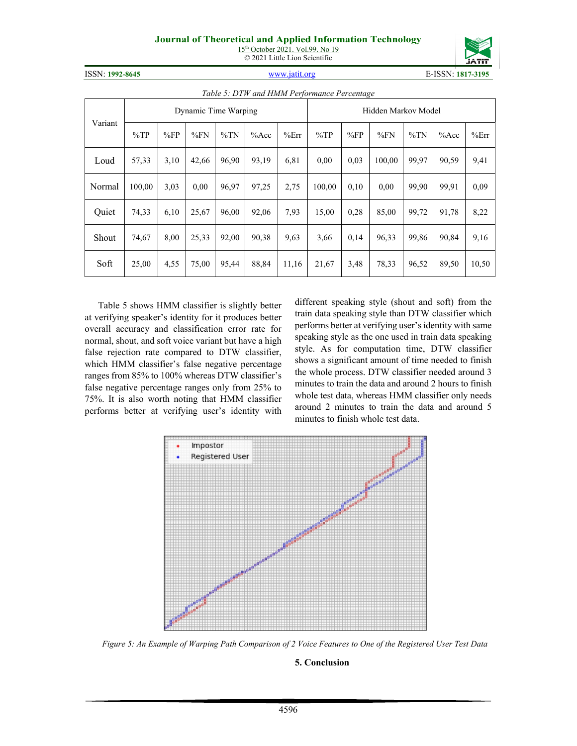# **Journal of Theoretical and Applied Information Technology**

15<sup>th</sup> October 2021. Vol.99. No 19 © 2021 Little Lion Scientific



ISSN: **1992-8645** [www.jatit.org](http://www.jatit.org/) E-ISSN: **1817-3195**

|         | Tuble 5. DTW und HMM I erformance I ercentage |                      |       |        |         |       |        |      |        |        |         |       |                     |  |  |  |
|---------|-----------------------------------------------|----------------------|-------|--------|---------|-------|--------|------|--------|--------|---------|-------|---------------------|--|--|--|
|         |                                               | Dynamic Time Warping |       |        |         |       |        |      |        |        |         |       | Hidden Markov Model |  |  |  |
| Variant | $\%TP$                                        | %FP                  | %FN   | $\%TN$ | $%$ Acc | %Err  | $\%TP$ | %FP  | %FN    | $\%TN$ | $%$ Acc | %Err  |                     |  |  |  |
| Loud    | 57,33                                         | 3,10                 | 42,66 | 96.90  | 93,19   | 6,81  | 0.00   | 0,03 | 100.00 | 99,97  | 90,59   | 9,41  |                     |  |  |  |
| Normal  | 100,00                                        | 3,03                 | 0,00  | 96,97  | 97,25   | 2,75  | 100,00 | 0,10 | 0,00   | 99,90  | 99,91   | 0,09  |                     |  |  |  |
| Quiet   | 74,33                                         | 6,10                 | 25,67 | 96,00  | 92,06   | 7,93  | 15,00  | 0,28 | 85,00  | 99,72  | 91,78   | 8,22  |                     |  |  |  |
| Shout   | 74,67                                         | 8,00                 | 25,33 | 92,00  | 90,38   | 9,63  | 3,66   | 0,14 | 96,33  | 99,86  | 90,84   | 9,16  |                     |  |  |  |
| Soft    | 25,00                                         | 4,55                 | 75,00 | 95,44  | 88,84   | 11,16 | 21,67  | 3,48 | 78,33  | 96,52  | 89,50   | 10,50 |                     |  |  |  |

*Table 5: DTW and HMM Performance Percentage*

Table 5 shows HMM classifier is slightly better at verifying speaker's identity for it produces better overall accuracy and classification error rate for normal, shout, and soft voice variant but have a high false rejection rate compared to DTW classifier, which HMM classifier's false negative percentage ranges from 85% to 100% whereas DTW classifier's false negative percentage ranges only from 25% to 75%. It is also worth noting that HMM classifier performs better at verifying user's identity with different speaking style (shout and soft) from the train data speaking style than DTW classifier which performs better at verifying user's identity with same speaking style as the one used in train data speaking style. As for computation time, DTW classifier shows a significant amount of time needed to finish the whole process. DTW classifier needed around 3 minutes to train the data and around 2 hours to finish whole test data, whereas HMM classifier only needs around 2 minutes to train the data and around 5 minutes to finish whole test data.



*Figure 5: An Example of Warping Path Comparison of 2 Voice Features to One of the Registered User Test Data*

### **5. Conclusion**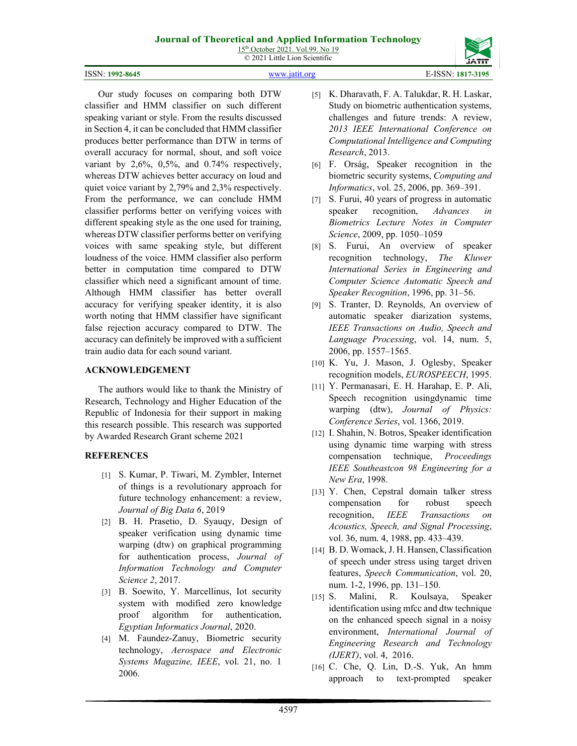# **Journal of Theoretical and Applied Information Technology**

15<sup>th</sup> October 2021. Vol.99. No 19 © 2021 Little Lion Scientific



ISSN: **1992-8645** [www.jatit.org](http://www.jatit.org/) E-ISSN: **1817-3195**

classifier and HMM classifier on such different speaking variant or style. From the results discussed in Section 4, it can be concluded that HMM classifier produces better performance than DTW in terms of overall accuracy for normal, shout, and soft voice variant by 2,6%, 0,5%, and 0.74% respectively, whereas DTW achieves better accuracy on loud and quiet voice variant by 2,79% and 2,3% respectively. From the performance, we can conclude HMM classifier performs better on verifying voices with different speaking style as the one used for training, whereas DTW classifier performs better on verifying voices with same speaking style, but different loudness of the voice. HMM classifier also perform better in computation time compared to DTW classifier which need a significant amount of time. Although HMM classifier has better overall accuracy for verifying speaker identity, it is also worth noting that HMM classifier have significant false rejection accuracy compared to DTW. The accuracy can definitely be improved with a sufficient train audio data for each sound variant.

Our study focuses on comparing both DTW

# **ACKNOWLEDGEMENT**

The authors would like to thank the Ministry of Research, Technology and Higher Education of the Republic of Indonesia for their support in making this research possible. This research was supported by Awarded Research Grant scheme 2021

# **REFERENCES**

- [1] S. Kumar, P. Tiwari, M. Zymbler, Internet of things is a revolutionary approach for future technology enhancement: a review, *Journal of Big Data 6*, 2019
- [2] B. H. Prasetio, D. Syauqy, Design of speaker verification using dynamic time warping (dtw) on graphical programming for authentication process, *Journal of Information Technology and Computer Science 2*, 2017.
- [3] B. Soewito, Y. Marcellinus, Iot security system with modified zero knowledge proof algorithm for authentication, *Egyptian Informatics Journal*, 2020.
- [4] M. Faundez-Zanuy, Biometric security technology, *Aerospace and Electronic Systems Magazine, IEEE*, vol. 21, no. 1 2006.
- [5] K. Dharavath, F. A. Talukdar, R. H. Laskar, Study on biometric authentication systems, challenges and future trends: A review, *2013 IEEE International Conference on Computational Intelligence and Computing Research*, 2013.
- [6] F. Orság, Speaker recognition in the biometric security systems, *Computing and Informatics*, vol. 25, 2006, pp. 369–391.
- [7] S. Furui, 40 years of progress in automatic speaker recognition, *Advances in Biometrics Lecture Notes in Computer Science*, 2009, pp. 1050–1059
- [8] S. Furui, An overview of speaker recognition technology, *The Kluwer International Series in Engineering and Computer Science Automatic Speech and Speaker Recognition*, 1996, pp. 31–56.
- [9] S. Tranter, D. Reynolds, An overview of automatic speaker diarization systems, *IEEE Transactions on Audio, Speech and Language Processing*, vol. 14, num. 5, 2006, pp. 1557–1565.
- [10] K. Yu, J. Mason, J. Oglesby, Speaker recognition models, *EUROSPEECH*, 1995.
- [11] Y. Permanasari, E. H. Harahap, E. P. Ali, Speech recognition usingdynamic time warping (dtw), *Journal of Physics: Conference Series*, vol. 1366, 2019.
- [12] I. Shahin, N. Botros, Speaker identification using dynamic time warping with stress compensation technique, *Proceedings IEEE Southeastcon 98 Engineering for a New Era*, 1998.
- [13] Y. Chen, Cepstral domain talker stress compensation for robust speech recognition, *IEEE Transactions on Acoustics, Speech, and Signal Processing*, vol. 36, num. 4, 1988, pp. 433–439.
- [14] B. D. Womack, J. H. Hansen, Classification of speech under stress using target driven features, *Speech Communication*, vol. 20, num. 1-2, 1996, pp. 131–150.
- [15] S. Malini, R. Koulsaya, Speaker identification using mfcc and dtw technique on the enhanced speech signal in a noisy environment, *International Journal of Engineering Research and Technology (IJERT)*, vol. 4, 2016.
- [16] C. Che, Q. Lin, D.-S. Yuk, An hmm approach to text-prompted speaker